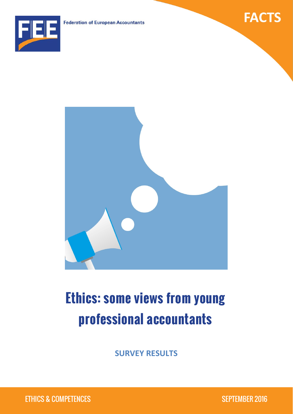





# **Ethics: some views from young professional accountants**

**SURVEY RESULTS**

**ETHICS & COMPETENCES SEPTEMBER 2016**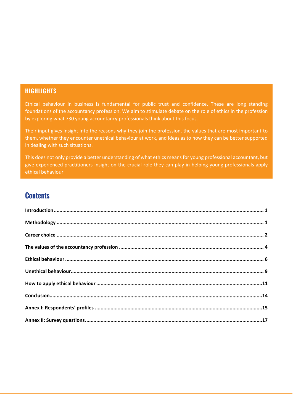## **HIGHLIGHTS**

Ethical behaviour in business is fundamental for public trust and confidence. These are long standing foundations of the accountancy profession. We aim to stimulate debate on the role of ethics in the profession by exploring what 730 young accountancy professionals think about this focus.

Their input gives insight into the reasons why they join the profession, the values that are most important to them, whether they encounter unethical behaviour at work, and ideas as to how they can be better supported in dealing with such situations.

This does not only provide a better understanding of what ethics means for young professional accountant, but give experienced practitioners insight on the crucial role they can play in helping young professionals apply ethical behaviour.

# **Contents**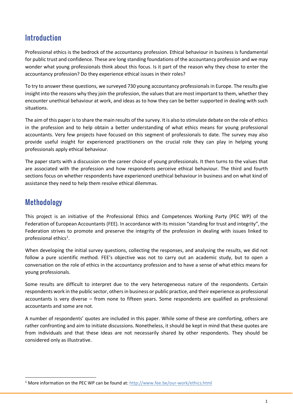# <span id="page-2-0"></span>Introduction

Professional ethics is the bedrock of the accountancy profession. Ethical behaviour in business is fundamental for public trust and confidence. These are long standing foundations of the accountancy profession and we may wonder what young professionals think about this focus. Is it part of the reason why they chose to enter the accountancy profession? Do they experience ethical issues in their roles?

To try to answer these questions, we surveyed 730 young accountancy professionals in Europe. The results give insight into the reasons why they join the profession, the values that are most important to them, whether they encounter unethical behaviour at work, and ideas as to how they can be better supported in dealing with such situations.

The aim of this paper is to share the main results of the survey. It is also to stimulate debate on the role of ethics in the profession and to help obtain a better understanding of what ethics means for young professional accountants. Very few projects have focused on this segment of professionals to date. The survey may also provide useful insight for experienced practitioners on the crucial role they can play in helping young professionals apply ethical behaviour.

The paper starts with a discussion on the career choice of young professionals. It then turns to the values that are associated with the profession and how respondents perceive ethical behaviour. The third and fourth sections focus on whether respondents have experienced unethical behaviour in business and on what kind of assistance they need to help them resolve ethical dilemmas.

# <span id="page-2-1"></span>Methodology

This project is an initiative of the Professional Ethics and Competences Working Party (PEC WP) of the Federation of European Accountants (FEE). In accordance with its mission "standing for trust and integrity", the Federation strives to promote and preserve the integrity of the profession in dealing with issues linked to professional ethics<sup>[1](#page-2-2)</sup>.

When developing the initial survey questions, collecting the responses, and analysing the results, we did not follow a pure scientific method. FEE's objective was not to carry out an academic study, but to open a conversation on the role of ethics in the accountancy profession and to have a sense of what ethics means for young professionals.

Some results are difficult to interpret due to the very heterogeneous nature of the respondents. Certain respondents work in the public sector, others in business or public practice, and their experience as professional accountants is very diverse – from none to fifteen years. Some respondents are qualified as professional accountants and some are not.

A number of respondents' quotes are included in this paper. While some of these are comforting, others are rather confronting and aim to initiate discussions. Nonetheless, it should be kept in mind that these quotes are from individuals and that these ideas are not necessarily shared by other respondents. They should be considered only as illustrative.

<span id="page-2-2"></span><sup>&</sup>lt;sup>1</sup> More information on the PEC WP can be found at:<http://www.fee.be/our-work/ethics.html>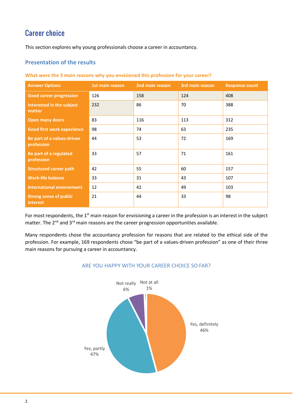# <span id="page-3-0"></span>Career choice

This section explores why young professionals choose a career in accountancy.

## **Presentation of the results**

#### **What were the 3 main reasons why you envisioned this profession for your career?**

| <b>Answer Options</b>                            | 1st main reason | 2nd main reason | 3rd main reason | <b>Response count</b> |
|--------------------------------------------------|-----------------|-----------------|-----------------|-----------------------|
| <b>Good career progression</b>                   | 126             | 158             | 124             | 408                   |
| Interested in the subject<br>matter              | 232             | 86              | 70              | 388                   |
| <b>Open many doors</b>                           | 83              | 116             | 113             | 312                   |
| <b>Good first work experience</b>                | 98              | 74              | 63              | 235                   |
| Be part of a values-driven<br>profession         | 44              | 53              | 72              | 169                   |
| Be part of a regulated<br>profession             | 33              | 57              | 71              | 161                   |
| <b>Structured career path</b>                    | 42              | 55              | 60              | 157                   |
| <b>Work-life balance</b>                         | 33              | 31              | 43              | 107                   |
| <b>International environment</b>                 | 12              | 42              | 49              | 103                   |
| <b>Strong sense of public</b><br><b>interest</b> | 21              | 44              | 33              | 98                    |

For most respondents, the  $1<sup>st</sup>$  main reason for envisioning a career in the profession is an interest in the subject matter. The 2<sup>nd</sup> and 3<sup>rd</sup> main reasons are the career progression opportunities available.

Many respondents chose the accountancy profession for reasons that are related to the ethical side of the profession. For example, 169 respondents chose "be part of a values-driven profession" as one of their three main reasons for pursuing a career in accountancy.



#### ARE YOU HAPPY WITH YOUR CAREER CHOICE SO FAR?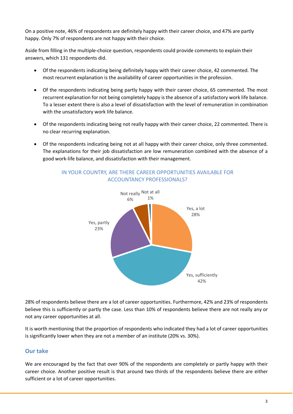On a positive note, 46% of respondents are definitely happy with their career choice, and 47% are partly happy. Only 7% of respondents are not happy with their choice.

Aside from filling in the multiple-choice question, respondents could provide comments to explain their answers, which 131 respondents did.

- Of the respondents indicating being definitely happy with their career choice, 42 commented. The most recurrent explanation is the availability of career opportunities in the profession.
- Of the respondents indicating being partly happy with their career choice, 65 commented. The most recurrent explanation for not being completely happy is the absence of a satisfactory work life balance. To a lesser extent there is also a level of dissatisfaction with the level of remuneration in combination with the unsatisfactory work life balance.
- Of the respondents indicating being not really happy with their career choice, 22 commented. There is no clear recurring explanation.
- Of the respondents indicating being not at all happy with their career choice, only three commented. The explanations for their job dissatisfaction are low remuneration combined with the absence of a good work-life balance, and dissatisfaction with their management.



## IN YOUR COUNTRY, ARE THERE CAREER OPPORTUNITIES AVAILABLE FOR ACCOUNTANCY PROFESSIONALS?

28% of respondents believe there are a lot of career opportunities. Furthermore, 42% and 23% of respondents believe this is sufficiently or partly the case. Less than 10% of respondents believe there are not really any or not any career opportunities at all.

It is worth mentioning that the proportion of respondents who indicated they had a lot of career opportunities is significantly lower when they are not a member of an institute (20% vs. 30%).

## **Our take**

We are encouraged by the fact that over 90% of the respondents are completely or partly happy with their career choice. Another positive result is that around two thirds of the respondents believe there are either sufficient or a lot of career opportunities.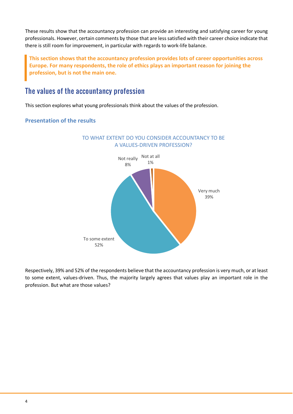These results show that the accountancy profession can provide an interesting and satisfying career for young professionals. However, certain comments by those that are less satisfied with their career choice indicate that there is still room for improvement, in particular with regards to work-life balance.

**This section shows that the accountancy profession provides lots of career opportunities across Europe. For many respondents, the role of ethics plays an important reason for joining the profession, but is not the main one.**

# <span id="page-5-0"></span>The values of the accountancy profession

This section explores what young professionals think about the values of the profession.

### **Presentation of the results**



Respectively, 39% and 52% of the respondents believe that the accountancy profession is very much, or at least to some extent, values-driven. Thus, the majority largely agrees that values play an important role in the profession. But what are those values?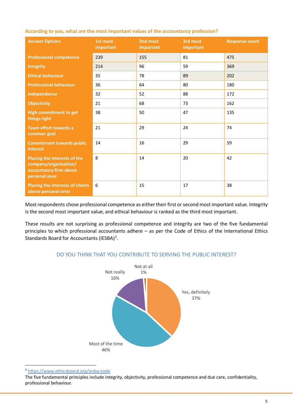#### **According to you, what are the most important values of the accountancy profession?**

| <b>Answer Options</b>                                                                            | 1st most<br>important | 2nd most<br>important | 3rd most<br>important | <b>Response count</b> |
|--------------------------------------------------------------------------------------------------|-----------------------|-----------------------|-----------------------|-----------------------|
| <b>Professional competence</b>                                                                   | 239                   | 155                   | 81                    | 475                   |
| <b>Integrity</b>                                                                                 | 214                   | 96                    | 59                    | 369                   |
| <b>Ethical behaviour</b>                                                                         | 35                    | 78                    | 89                    | 202                   |
| <b>Professional behaviour</b>                                                                    | 36                    | 64                    | 80                    | 180                   |
| Independence                                                                                     | 32                    | 52                    | 88                    | 172                   |
| <b>Objectivity</b>                                                                               | 21                    | 68                    | 73                    | 162                   |
| <b>High commitment to get</b><br>things right                                                    | 38                    | 50                    | 47                    | 135                   |
| <b>Team effort towards a</b><br>common goal                                                      | 21                    | 29                    | 24                    | 74                    |
| <b>Commitment towards public</b><br>interest                                                     | 14                    | 16                    | 29                    | 59                    |
| Placing the interests of the<br>company/organisation/<br>accountancy firm above<br>personal ones | 8                     | 14                    | 20                    | 42                    |
| Placing the interests of clients<br>above personal ones                                          | 6                     | 15                    | 17                    | 38                    |

Most respondents chose professional competence as either their first or second most important value. Integrity is the second most important value, and ethical behaviour is ranked as the third most important.

These results are not surprising as professional competence and integrity are two of the five fundamental principles to which professional accountants adhere – as per the Code of Ethics of the International Ethics Standards Board for Accountants (IESBA)<sup>[2](#page-6-0)</sup>.



### DO YOU THINK THAT YOU CONTRIBUTE TO SERVING THE PUBLIC INTEREST?

<span id="page-6-0"></span>2 <https://www.ethicsboard.org/iesba-code>

The five fundamental principles include integrity, objectivity, professional competence and due care, confidentiality, professional behaviour.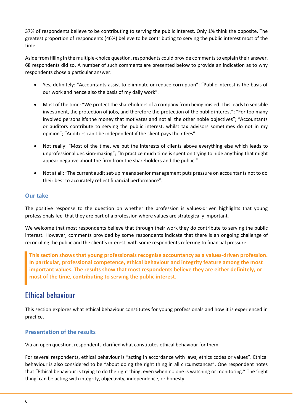37% of respondents believe to be contributing to serving the public interest. Only 1% think the opposite. The greatest proportion of respondents (46%) believe to be contributing to serving the public interest most of the time.

Aside from filling in the multiple-choice question, respondents could provide comments to explain their answer. 68 respondents did so. A number of such comments are presented below to provide an indication as to why respondents chose a particular answer:

- Yes, definitely: "Accountants assist to eliminate or reduce corruption"; "Public interest is the basis of our work and hence also the basis of my daily work".
- Most of the time: "We protect the shareholders of a company from being misled. This leads to sensible investment, the protection of jobs, and therefore the protection of the public interest"; "For too many involved persons it's the money that motivates and not all the other noble objectives"; "Accountants or auditors contribute to serving the public interest, whilst tax advisors sometimes do not in my opinion"; "Auditors can't be independent if the client pays their fees".
- Not really: "Most of the time, we put the interests of clients above everything else which leads to unprofessional decision-making"; "In practice much time is spent on trying to hide anything that might appear negative about the firm from the shareholders and the public."
- Not at all: "The current audit set-up means senior management puts pressure on accountants not to do their best to accurately reflect financial performance".

### **Our take**

The positive response to the question on whether the profession is values-driven highlights that young professionals feel that they are part of a profession where values are strategically important.

We welcome that most respondents believe that through their work they do contribute to serving the public interest. However, comments provided by some respondents indicate that there is an ongoing challenge of reconciling the public and the client's interest, with some respondents referring to financial pressure.

**This section shows that young professionals recognise accountancy as a values-driven profession. In particular, professional competence, ethical behaviour and integrity feature among the most important values. The results show that most respondents believe they are either definitely, or most of the time, contributing to serving the public interest.**

# <span id="page-7-0"></span>Ethical behaviour

This section explores what ethical behaviour constitutes for young professionals and how it is experienced in practice.

## **Presentation of the results**

Via an open question, respondents clarified what constitutes ethical behaviour for them.

For several respondents, ethical behaviour is "acting in accordance with laws, ethics codes or values". Ethical behaviour is also considered to be "about doing the right thing in all circumstances". One respondent notes that "Ethical behaviour is trying to do the right thing, even when no one is watching or monitoring." The 'right thing' can be acting with integrity, objectivity, independence, or honesty.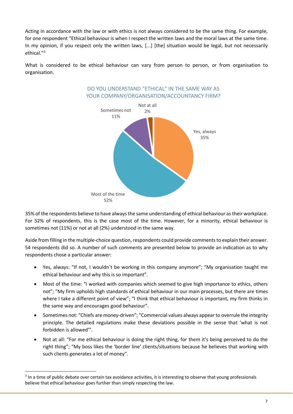Acting in accordance with the law or with ethics is not always considered to be the same thing. For example, for one respondent "Ethical behaviour is when I respect the written laws and the moral laws at the same time. In my opinion, if you respect only the written laws, [...] [the] situation would be legal, but not necessarily ethical."[3](#page-8-0)

What is considered to be ethical behaviour can vary from person to person, or from organisation to organisation.



35% of the respondents believe to have always the same understanding of ethical behaviour as their workplace. For 52% of respondents, this is the case most of the time. However, for a minority, ethical behaviour is sometimes not (11%) or not at all (2%) understood in the same way.

Aside from filling in the multiple-choice question, respondents could provide comments to explain their answer. 54 respondents did so. A number of such comments are presented below to provide an indication as to why respondents chose a particular answer:

- Yes, always: "If not, I wouldn´t be working in this company anymore"; "My organisation taught me ethical behaviour and why this is so important".
- Most of the time: "I worked with companies which seemed to give high importance to ethics, others not"; "My firm upholds high standards of ethical behaviour in our main processes, but there are times where I take a different point of view"; "I think that ethical behaviour is important, my firm thinks in the same way and encourages good behaviour".
- Sometimes not: "Chiefs are money-driven"; "Commercial values always appear to overrule the integrity principle. The detailed regulations make these deviations possible in the sense that 'what is not forbidden is allowed'".
- Not at all: "For me ethical behaviour is doing the right thing, for them it's being perceived to do the right thing"; "My boss likes the 'border line' clients/situations because he believes that working with such clients generates a lot of money".

<span id="page-8-0"></span><sup>&</sup>lt;sup>3</sup> In a time of public debate over certain tax avoidance activities, it is interesting to observe that young professionals believe that ethical behaviour goes further than simply respecting the law.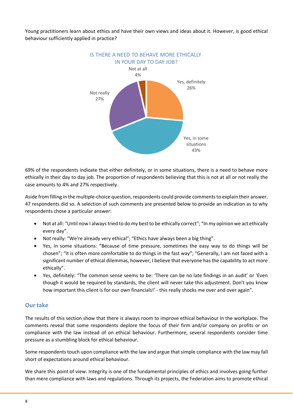Young practitioners learn about ethics and have their own views and ideas about it. However, is good ethical behaviour sufficiently applied in practice?



69% of the respondents indicate that either definitely, or in some situations, there is a need to behave more ethically in their day to day job. The proportion of respondents believing that this is not at all or not really the case amounts to 4% and 27% respectively.

Aside from filling in the multiple-choice question, respondents could provide comments to explain their answer. 47 respondents did so. A selection of such comments are presented below to provide an indication as to why respondents chose a particular answer:

- Not at all: "Until now I always tried to do my best to be ethically correct"; "In my opinion we act ethically every day".
- Not really: "We're already very ethical"; "Ethics have always been a big thing".
- Yes, in some situations: "Because of time pressure, sometimes the easy way to do things will be chosen"; "It is often more comfortable to do things in the fast way"; "Generally, I am not faced with a significant number of ethical dilemmas, however, I believe that everyone has the capability to act more ethically".
- Yes, definitely: "The common sense seems to be: 'There can be no late findings in an audit' or 'Even though it would be required by standards, the client will never take this adjustment. Don't you know how important this client is for our own financials!' - this really shocks me over and over again".

### **Our take**

The results of this section show that there is always room to improve ethical behaviour in the workplace. The comments reveal that some respondents deplore the focus of their firm and/or company on profits or on compliance with the law instead of on ethical behaviour. Furthermore, several respondents consider time pressure as a stumbling block for ethical behaviour.

Some respondents touch upon compliance with the law and argue that simple compliance with the law may fall short of expectations around ethical behaviour.

We share this point of view. Integrity is one of the fundamental principles of ethics and involves going further than mere compliance with laws and regulations. Through its projects, the Federation aims to promote ethical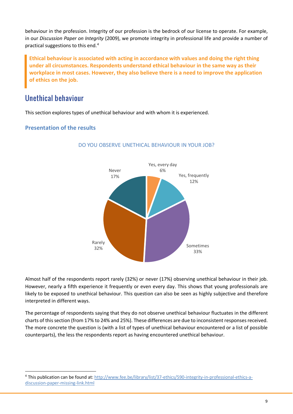behaviour in the profession. Integrity of our profession is the bedrock of our license to operate. For example, in our *Discussion Paper on Integrity* (2009), we promote integrity in professional life and provide a number of practical suggestions to this end.[4](#page-10-1)

**Ethical behaviour is associated with acting in accordance with values and doing the right thing under all circumstances. Respondents understand ethical behaviour in the same way as their workplace in most cases. However, they also believe there is a need to improve the application of ethics on the job.** 

# <span id="page-10-0"></span>Unethical behaviour

This section explores types of unethical behaviour and with whom it is experienced.

## **Presentation of the results**



#### DO YOU OBSERVE UNETHICAL BEHAVIOUR IN YOUR JOB?

Almost half of the respondents report rarely (32%) or never (17%) observing unethical behaviour in their job. However, nearly a fifth experience it frequently or even every day. This shows that young professionals are likely to be exposed to unethical behaviour. This question can also be seen as highly subjective and therefore interpreted in different ways.

The percentage of respondents saying that they do not observe unethical behaviour fluctuates in the different charts of this section (from 17% to 24% and 25%). These differences are due to inconsistent responses received. The more concrete the question is (with a list of types of unethical behaviour encountered or a list of possible counterparts), the less the respondents report as having encountered unethical behaviour.

<span id="page-10-1"></span> <sup>4</sup> This publication can be found at[: http://www.fee.be/library/list/37-ethics/590-integrity-in-professional-ethics-a](http://www.fee.be/library/list/37-ethics/590-integrity-in-professional-ethics-a-discussion-paper-missing-link.html)[discussion-paper-missing-link.html](http://www.fee.be/library/list/37-ethics/590-integrity-in-professional-ethics-a-discussion-paper-missing-link.html)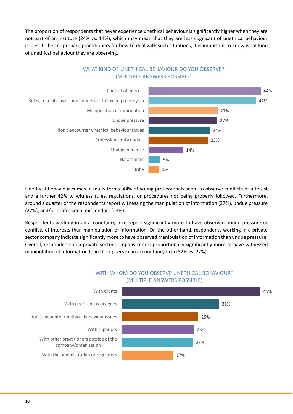The proportion of respondents that never experience unethical behaviour is significantly higher when they are not part of an institute (24% vs. 14%), which may mean that they are less cognisant of unethical behaviour issues. To better prepare practitioners for how to deal with such situations, it is important to know what kind of unethical behaviour they are observing.



## WHAT KIND OF UNFTHICAL BEHAVIOUR DO YOU OBSERVE? (MULTIPLE ANSWERS POSSIBLE)

Unethical behaviour comes in many forms. 44% of young professionals seem to observe conflicts of interest and a further 42% to witness rules, regulations, or procedures not being properly followed. Furthermore, around a quarter of the respondents report witnessing the manipulation of information (27%), undue pressure (27%), and/or professional misconduct (23%).

Respondents working in an accountancy firm report significantly more to have observed undue pressure or conflicts of interests than manipulation of information. On the other hand, respondents working in a private sector company indicate significantly more to have observed manipulation of information than undue pressure. Overall, respondents in a private sector company report proportionally significantly more to have witnessed manipulation of information than their peers in an accountancy firm (32% vs. 22%).



#### WITH WHOM DO YOU OBSERVE UNETHICAL BEHAVIOUR? (MULTIPLE ANSWERS POSSIBLE)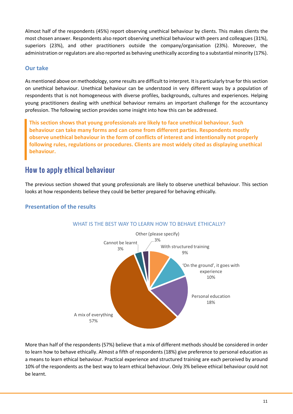Almost half of the respondents (45%) report observing unethical behaviour by clients. This makes clients the most chosen answer. Respondents also report observing unethical behaviour with peers and colleagues (31%), superiors (23%), and other practitioners outside the company/organisation (23%). Moreover, the administration or regulators are also reported as behaving unethically according to a substantial minority (17%).

## **Our take**

As mentioned above on methodology, some results are difficult to interpret. It is particularly true for this section on unethical behaviour. Unethical behaviour can be understood in very different ways by a population of respondents that is not homogeneous with diverse profiles, backgrounds, cultures and experiences. Helping young practitioners dealing with unethical behaviour remains an important challenge for the accountancy profession. The following section provides some insight into how this can be addressed.

**This section shows that young professionals are likely to face unethical behaviour. Such behaviour can take many forms and can come from different parties. Respondents mostly observe unethical behaviour in the form of conflicts of interest and intentionally not properly following rules, regulations or procedures. Clients are most widely cited as displaying unethical behaviour.**

# <span id="page-12-0"></span>How to apply ethical behaviour

**Presentation of the results**

The previous section showed that young professionals are likely to observe unethical behaviour. This section looks at how respondents believe they could be better prepared for behaving ethically.



# WHAT IS THE BEST WAY TO LEARN HOW TO BEHAVE ETHICALLY?

More than half of the respondents (57%) believe that a mix of different methods should be considered in order to learn how to behave ethically. Almost a fifth of respondents (18%) give preference to personal education as a means to learn ethical behaviour. Practical experience and structured training are each perceived by around 10% of the respondents as the best way to learn ethical behaviour. Only 3% believe ethical behaviour could not be learnt.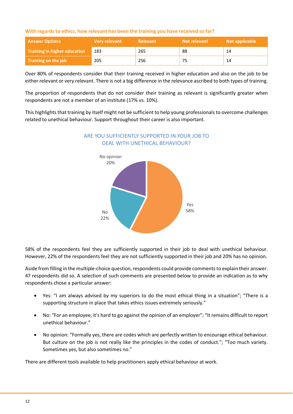#### **With regards to ethics, how relevant has been the training you have received so far?**

| <b>Answer Options</b>               | Very relevant | <b>Relevant</b> | Not relevant | Not applicable |
|-------------------------------------|---------------|-----------------|--------------|----------------|
| <b>Training in higher education</b> | 183           | 265             | 88           | 14             |
| Training on the job                 | 205           | 256             |              | 14             |

Over 80% of respondents consider that their training received in higher education and also on the job to be either relevant or very relevant. There is not a big difference in the relevance ascribed to both types of training.

The proportion of respondents that do not consider their training as relevant is significantly greater when respondents are not a member of an institute (17% vs. 10%).

This highlights that training by itself might not be sufficient to help young professionals to overcome challenges related to unethical behaviour. Support throughout their career is also important.



58% of the respondents feel they are sufficiently supported in their job to deal with unethical behaviour. However, 22% of the respondents feel they are not sufficiently supported in their job and 20% has no opinion.

Aside from filling in the multiple-choice question, respondents could provide comments to explain their answer. 47 respondents did so. A selection of such comments are presented below to provide an indication as to why respondents chose a particular answer:

- Yes: "I am always advised by my superiors to do the most ethical thing in a situation"; "There is a supporting structure in place that takes ethics issues extremely seriously."
- No: "For an employee, it's hard to go against the opinion of an employer"; "It remains difficult to report unethical behaviour."
- No opinion: "Formally yes, there are codes which are perfectly written to encourage ethical behaviour. But culture on the job is not really like the principles in the codes of conduct."; "Too much variety. Sometimes yes, but also sometimes no."

There are different tools available to help practitioners apply ethical behaviour at work.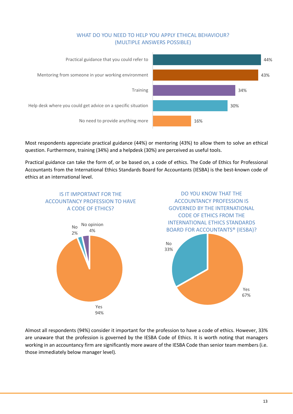## WHAT DO YOU NEED TO HELP YOU APPLY ETHICAL BEHAVIOUR? (MULTIPLE ANSWERS POSSIBLE)



Most respondents appreciate practical guidance (44%) or mentoring (43%) to allow them to solve an ethical question. Furthermore, training (34%) and a helpdesk (30%) are perceived as useful tools.

Practical guidance can take the form of, or be based on, a code of ethics. The Code of Ethics for Professional Accountants from the International Ethics Standards Board for Accountants (IESBA) is the best-known code of ethics at an international level.



Almost all respondents (94%) consider it important for the profession to have a code of ethics. However, 33% are unaware that the profession is governed by the IESBA Code of Ethics. It is worth noting that managers working in an accountancy firm are significantly more aware of the IESBA Code than senior team members (i.e. those immediately below manager level).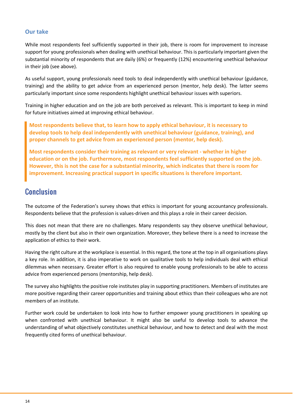## **Our take**

While most respondents feel sufficiently supported in their job, there is room for improvement to increase support for young professionals when dealing with unethical behaviour. This is particularly important given the substantial minority of respondents that are daily (6%) or frequently (12%) encountering unethical behaviour in their job (see above).

As useful support, young professionals need tools to deal independently with unethical behaviour (guidance, training) and the ability to get advice from an experienced person (mentor, help desk). The latter seems particularly important since some respondents highlight unethical behaviour issues with superiors.

Training in higher education and on the job are both perceived as relevant. This is important to keep in mind for future initiatives aimed at improving ethical behaviour.

**Most respondents believe that, to learn how to apply ethical behaviour, it is necessary to develop tools to help deal independently with unethical behaviour (guidance, training), and proper channels to get advice from an experienced person (mentor, help desk).** 

**Most respondents consider their training as relevant or very relevant - whether in higher education or on the job. Furthermore, most respondents feel sufficiently supported on the job. However, this is not the case for a substantial minority, which indicates that there is room for improvement. Increasing practical support in specific situations is therefore important.**

# <span id="page-15-0"></span>Conclusion

The outcome of the Federation's survey shows that ethics is important for young accountancy professionals. Respondents believe that the profession is values-driven and this plays a role in their career decision.

This does not mean that there are no challenges. Many respondents say they observe unethical behaviour, mostly by the client but also in their own organization. Moreover, they believe there is a need to increase the application of ethics to their work.

Having the right culture at the workplace is essential. In this regard, the tone at the top in all organisations plays a key role. In addition, it is also imperative to work on qualitative tools to help individuals deal with ethical dilemmas when necessary. Greater effort is also required to enable young professionals to be able to access advice from experienced persons (mentorship, help desk).

The survey also highlights the positive role institutes play in supporting practitioners. Members of institutes are more positive regarding their career opportunities and training about ethics than their colleagues who are not members of an institute.

Further work could be undertaken to look into how to further empower young practitioners in speaking up when confronted with unethical behaviour. It might also be useful to develop tools to advance the understanding of what objectively constitutes unethical behaviour, and how to detect and deal with the most frequently cited forms of unethical behaviour.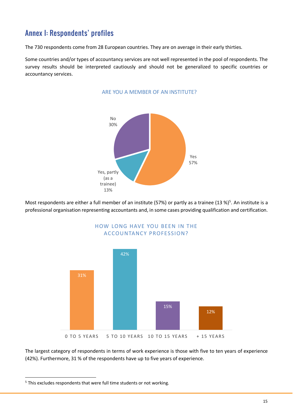# <span id="page-16-0"></span>Annex I: Respondents' profiles

The 730 respondents come from 28 European countries. They are on average in their early thirties.

Some countries and/or types of accountancy services are not well represented in the pool of respondents. The survey results should be interpreted cautiously and should not be generalized to specific countries or accountancy services.

ARE YOU A MEMBER OF AN INSTITUTE?



Most respondents are either a full member of an institute ([5](#page-16-1)7%) or partly as a trainee (13 %)<sup>5</sup>. An institute is a professional organisation representing accountants and, in some cases providing qualification and certification.

HOW LONG HAVE YOU BEEN IN THE



The largest category of respondents in terms of work experience is those with five to ten years of experience (42%). Furthermore, 31 % of the respondents have up to five years of experience.

15

<span id="page-16-1"></span><sup>&</sup>lt;sup>5</sup> This excludes respondents that were full time students or not working.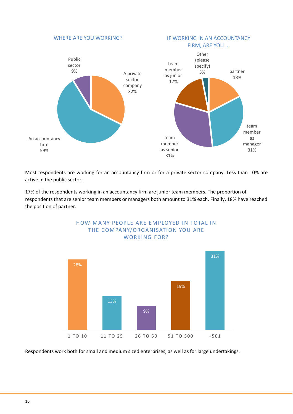

Most respondents are working for an accountancy firm or for a private sector company. Less than 10% are active in the public sector.

17% of the respondents working in an accountancy firm are junior team members. The proportion of respondents that are senior team members or managers both amount to 31% each. Finally, 18% have reached the position of partner.



Respondents work both for small and medium sized enterprises, as well as for large undertakings.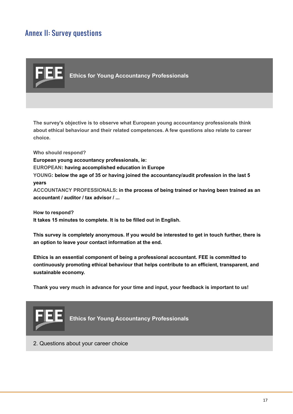# <span id="page-18-0"></span>Annex II: Survey questions



**Ethics for Young Accountancy Professionals**

**The survey's objective is to observe what European young accountancy professionals think about ethical behaviour and their related competences. A few questions also relate to career choice.**

**Who should respond? European young accountancy professionals, ie: EUROPEAN: having accomplished education in Europe YOUNG: below the age of 35 or having joined the accountancy/audit profession in the last 5 years ACCOUNTANCY PROFESSIONALS: in the process of being trained or having been trained as an accountant / auditor / tax advisor / ...** 

**How to respond?**

**It takes 15 minutes to complete. It is to be filled out in English.**

**This survey is completely anonymous. If you would be interested to get in touch further, there is an option to leave your contact information at the end.**

**Ethics is an essential component of being a professional accountant. FEE is committed to continuously promoting ethical behaviour that helps contribute to an efficient, transparent, and sustainable economy.**

**Thank you very much in advance for your time and input, your feedback is important to us!**



**Ethics for Young Accountancy Professionals**

2. Questions about your career choice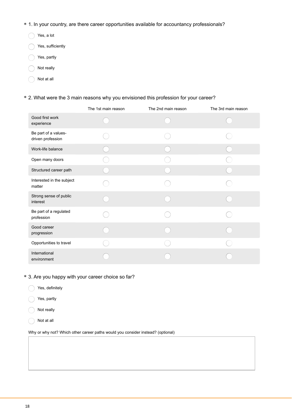- \* 1. In your country, are there career opportunities available for accountancy professionals?
	- $\bigcap$  Yes, a lot Yes, sufficiently  $\subset$ Yes, partly C
	- Not really C
	- Not at all  $\bigg($

#### \* 2. What were the 3 main reasons why you envisioned this profession for your career?

|                                           | The 1st main reason | The 2nd main reason | The 3rd main reason |
|-------------------------------------------|---------------------|---------------------|---------------------|
| Good first work<br>experience             |                     |                     |                     |
| Be part of a values-<br>driven profession |                     |                     |                     |
| Work-life balance                         |                     |                     |                     |
| Open many doors                           |                     |                     |                     |
| Structured career path                    |                     |                     |                     |
| Interested in the subject<br>matter       |                     |                     |                     |
| Strong sense of public<br>interest        |                     |                     |                     |
| Be part of a regulated<br>profession      |                     |                     |                     |
| Good career<br>progression                |                     |                     |                     |
| Opportunities to travel                   |                     |                     |                     |
| International<br>environment              |                     |                     |                     |

#### \* 3. Are you happy with your career choice so far?

- Yes, definitely
- Yes, partly C
- Not really  $\bigcap$
- Not at all  $\bigcap$

Why or why not? Which other career paths would you consider instead? (optional)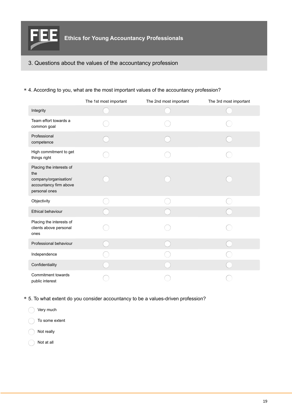## 3. Questions about the values of the accountancy profession

|                                                                                                     | The 1st most important | The 2nd most important | The 3rd most important |
|-----------------------------------------------------------------------------------------------------|------------------------|------------------------|------------------------|
| Integrity                                                                                           |                        |                        |                        |
| Team effort towards a<br>common goal                                                                |                        |                        |                        |
| Professional<br>competence                                                                          |                        |                        |                        |
| High commitment to get<br>things right                                                              |                        |                        |                        |
| Placing the interests of<br>the<br>company/organisation/<br>accountancy firm above<br>personal ones |                        |                        |                        |
| Objectivity                                                                                         |                        |                        |                        |
| Ethical behaviour                                                                                   |                        |                        |                        |
| Placing the interests of<br>clients above personal<br>ones                                          |                        |                        |                        |
| Professional behaviour                                                                              |                        |                        |                        |
| Independence                                                                                        |                        |                        |                        |
| Confidentiality                                                                                     |                        |                        |                        |
| Commitment towards<br>public interest                                                               |                        |                        |                        |

#### \* 4. According to you, what are the most important values of the accountancy profession?

\* 5. To what extent do you consider accountancy to be a values-driven profession?

- $\bigcirc$  Very much
- $\bigcap$  To some extent
- Not really  $\bigcap$
- $\bigcap$ Not at all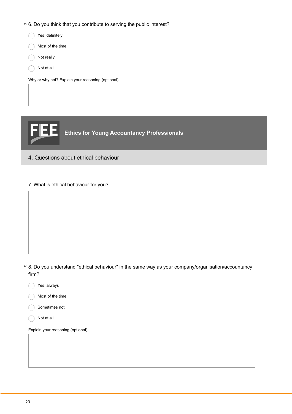- \* 6. Do you think that you contribute to serving the public interest?
	- Yes, definitely
	- $\bigcap$ Most of the time
	- Not really C
	- $\bigcap$ Not at all

Why or why not? Explain your reasoning (optional)



4. Questions about ethical behaviour

#### 7. What is ethical behaviour for you?

8. Do you understand "ethical behaviour" in the same way as your company/organisation/accountancy \* firm?

- $\bigcirc$  Yes, always
- Most of the time
- Sometimes not C
- Not at all  $\bigcirc$

Explain your reasoning (optional)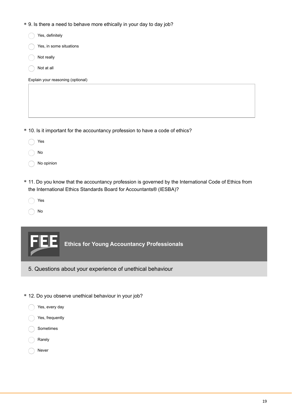\* 9. Is there a need to behave more ethically in your day to day job?

| 0. To thoro a hood to bond to more cullodily in your day to day job:           |  |
|--------------------------------------------------------------------------------|--|
| Yes, definitely                                                                |  |
| Yes, in some situations                                                        |  |
| Not really                                                                     |  |
| Not at all                                                                     |  |
| Explain your reasoning (optional)                                              |  |
|                                                                                |  |
|                                                                                |  |
|                                                                                |  |
|                                                                                |  |
| * 10. Is it important for the accountancy profession to have a code of ethics? |  |

- Yes ◯ No No opinion  $\bigcirc$
- 11. Do you know that the accountancy profession is governed by the International Code of Ethics from \* the International Ethics Standards Board for Accountants® (IESBA)?
	- $\bigcap$ Yes
		- No

**Ethics for Young Accountancy Professionals**

- 5. Questions about your experience of unethical behaviour
- \* 12. Do you observe unethical behaviour in your job?
	- Yes, every day
	- Yes, frequently
	- Sometimes
	- Rarely
	- Never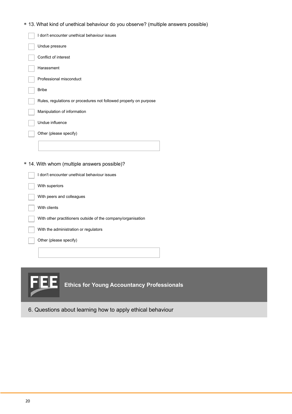\* 13. What kind of unethical behaviour do you observe? (multiple answers possible)

| I don't encounter unethical behaviour issues                      |
|-------------------------------------------------------------------|
| Undue pressure                                                    |
| Conflict of interest                                              |
| Harassment                                                        |
| Professional misconduct                                           |
| <b>Bribe</b>                                                      |
| Rules, regulations or procedures not followed properly on purpose |
| Manipulation of information                                       |
| Undue influence                                                   |
| Other (please specify)                                            |
|                                                                   |
|                                                                   |
| * 14. With whom (multiple answers possible)?                      |
| I don't encounter unethical behaviour issues                      |
| With superiors                                                    |
| With peers and colleagues                                         |
| With clients                                                      |
| With other practitioners outside of the company/organisation      |
| With the administration or regulators                             |
| Other (please specify)                                            |
|                                                                   |



6. Questions about learning how to apply ethical behaviour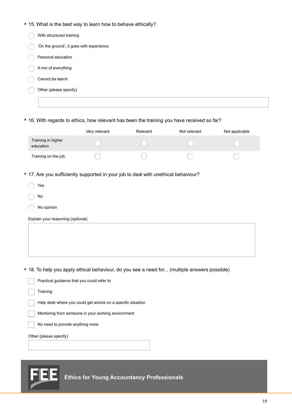|  |  |  |  | * 15. What is the best way to learn how to behave ethically? |
|--|--|--|--|--------------------------------------------------------------|
|  |  |  |  |                                                              |

| With structured training                 |
|------------------------------------------|
| 'On the ground', it goes with experience |
| Personal education                       |
| A mix of everything                      |
| Cannot be learnt                         |
| Other (please specify)                   |
|                                          |
|                                          |

\* 16. With regards to ethics, how relevant has been the training you have received so far?

|                                                                                    | Very relevant | Relevant | Not relevant | Not applicable |
|------------------------------------------------------------------------------------|---------------|----------|--------------|----------------|
| Training in higher<br>education                                                    |               |          |              |                |
| Training on the job                                                                |               |          |              |                |
|                                                                                    |               |          |              |                |
| * 17. Are you sufficiently supported in your job to deal with unethical behaviour? |               |          |              |                |
| Yes                                                                                |               |          |              |                |
| No                                                                                 |               |          |              |                |
| No opinion                                                                         |               |          |              |                |
| Explain your reasoning (optional)                                                  |               |          |              |                |
|                                                                                    |               |          |              |                |
|                                                                                    |               |          |              |                |
|                                                                                    |               |          |              |                |
|                                                                                    |               |          |              |                |

\* 18. To help you apply ethical behaviour, do you see a need for... (multiple answers possible)

| Practical quidance that you could refer to                   |
|--------------------------------------------------------------|
| Training                                                     |
| Help desk where you could get advice on a specific situation |
| Mentoring from someone in your working environment           |
| No need to provide anything more                             |
| Other (please specify)                                       |
|                                                              |



**Ethics for Young Accountancy Professionals**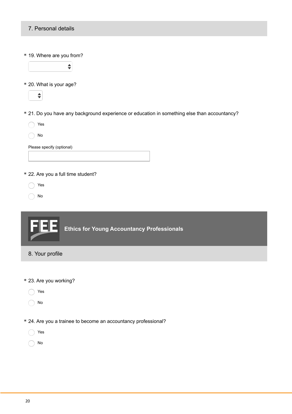# 7. Personal details

| * 19. Where are you from?                                                                    |
|----------------------------------------------------------------------------------------------|
| ▲<br>▼                                                                                       |
| * 20. What is your age?                                                                      |
| ÷                                                                                            |
| * 21. Do you have any background experience or education in something else than accountancy? |
| Yes                                                                                          |
| No                                                                                           |
| Please specify (optional)                                                                    |
|                                                                                              |
| * 22. Are you a full time student?<br>Yes                                                    |
|                                                                                              |
| No                                                                                           |
|                                                                                              |
| 122<br><b>Ethics for Young Accountancy Professionals</b>                                     |
| 8. Your profile                                                                              |
|                                                                                              |
| * 23. Are you working?                                                                       |
| Yes                                                                                          |
| $\operatorname{\mathsf{No}}$                                                                 |
|                                                                                              |
| * 24. Are you a trainee to become an accountancy professional?                               |
| Yes<br>$\mathsf{No}$                                                                         |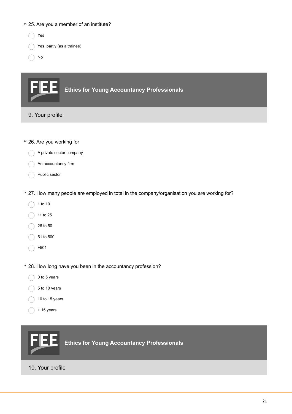| * 25. Are you a member of an institute? |  |
|-----------------------------------------|--|
| Yes                                     |  |
| Yes, partly (as a trainee)              |  |
| No                                      |  |
|                                         |  |
|                                         |  |

**Ethics for Young Accountancy Professionals**

- 9. Your profile
- \* 26. Are you working for
	- A private sector company
	- An accountancy firm
	- Public sector
- \* 27. How many people are employed in total in the company/organisation you are working for?
	- $\bigcirc$  1 to 10
	- $\bigcap$  11 to 25
	- 26 to 50  $\bigcap$
	- $\bigcirc$  51 to 500
	- $\bigcap$ +501
- \* 28. How long have you been in the accountancy profession?
	- $\bigcirc$  0 to 5 years
	- $\bigcirc$  5 to 10 years
	- $\bigcap$  10 to 15 years
	- $\bigcap$  + 15 years



#### 10. Your profile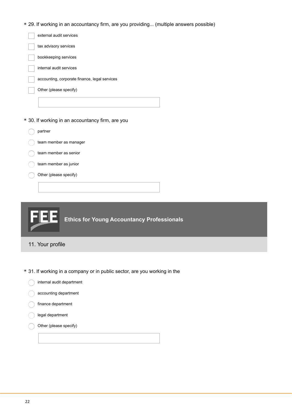\* 29. If working in an accountancy firm, are you providing... (multiple answers possible)

| external audit services                          |
|--------------------------------------------------|
| tax advisory services                            |
| bookkeeping services                             |
| internal audit services                          |
| accounting, corporate finance, legal services    |
| Other (please specify)                           |
|                                                  |
|                                                  |
| * 30. If working in an accountancy firm, are you |
| partner                                          |
| team member as manager                           |
| team member as senior                            |
|                                                  |

Other (please specify)  $\subset$ 



11. Your profile

\* 31. If working in a company or in public sector, are you working in the

- internal audit department  $\bigcap$
- accounting department  $\subset$
- finance department  $\bigcap$
- egal department
- Other (please specify)  $\subset$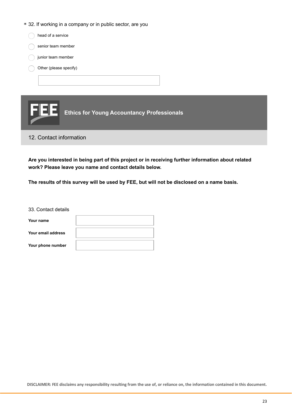- \* 32. If working in a company or in public sector, are you
	- $\bigcap$ head of a service
	- senior team member
	- junior team member
	- Other (please specify) C



#### 12. Contact information

**Are you interested in being part of this project or in receiving further information about related work? Please leave you name and contact details below.**

T

**The results of this survey will be used by FEE, but will not be disclosed on a name basis.**

33. Contact details

Г

| Your name |  |
|-----------|--|
|-----------|--|

**Your email address**

**Your phone number**

**DISCLAIMER: FEE disclaims any responsibility resulting from the use of, or reliance on, the information contained in this document.**